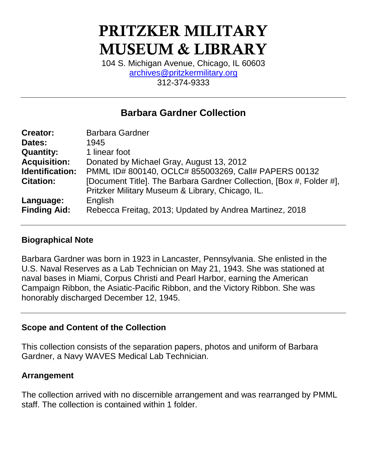# **PRITZKER MILITARY MUSEUM & LIBRARY**

104 S. Michigan Avenue, Chicago, IL 60603 [archives@pritzkermilitary.org](mailto:archives@pritzkermilitary.org) 312-374-9333

# **Barbara Gardner Collection**

| <b>Creator:</b>        | <b>Barbara Gardner</b>                                               |  |  |  |  |
|------------------------|----------------------------------------------------------------------|--|--|--|--|
| Dates:                 | 1945                                                                 |  |  |  |  |
| <b>Quantity:</b>       | 1 linear foot                                                        |  |  |  |  |
| <b>Acquisition:</b>    | Donated by Michael Gray, August 13, 2012                             |  |  |  |  |
| <b>Identification:</b> | PMML ID# 800140, OCLC# 855003269, Call# PAPERS 00132                 |  |  |  |  |
| <b>Citation:</b>       | [Document Title]. The Barbara Gardner Collection, [Box #, Folder #], |  |  |  |  |
|                        | Pritzker Military Museum & Library, Chicago, IL.                     |  |  |  |  |
| Language:              | English                                                              |  |  |  |  |
| <b>Finding Aid:</b>    | Rebecca Freitag, 2013; Updated by Andrea Martinez, 2018              |  |  |  |  |

#### **Biographical Note**

Barbara Gardner was born in 1923 in Lancaster, Pennsylvania. She enlisted in the U.S. Naval Reserves as a Lab Technician on May 21, 1943. She was stationed at naval bases in Miami, Corpus Christi and Pearl Harbor, earning the American Campaign Ribbon, the Asiatic-Pacific Ribbon, and the Victory Ribbon. She was honorably discharged December 12, 1945.

#### **Scope and Content of the Collection**

This collection consists of the separation papers, photos and uniform of Barbara Gardner, a Navy WAVES Medical Lab Technician.

#### **Arrangement**

The collection arrived with no discernible arrangement and was rearranged by PMML staff. The collection is contained within 1 folder.